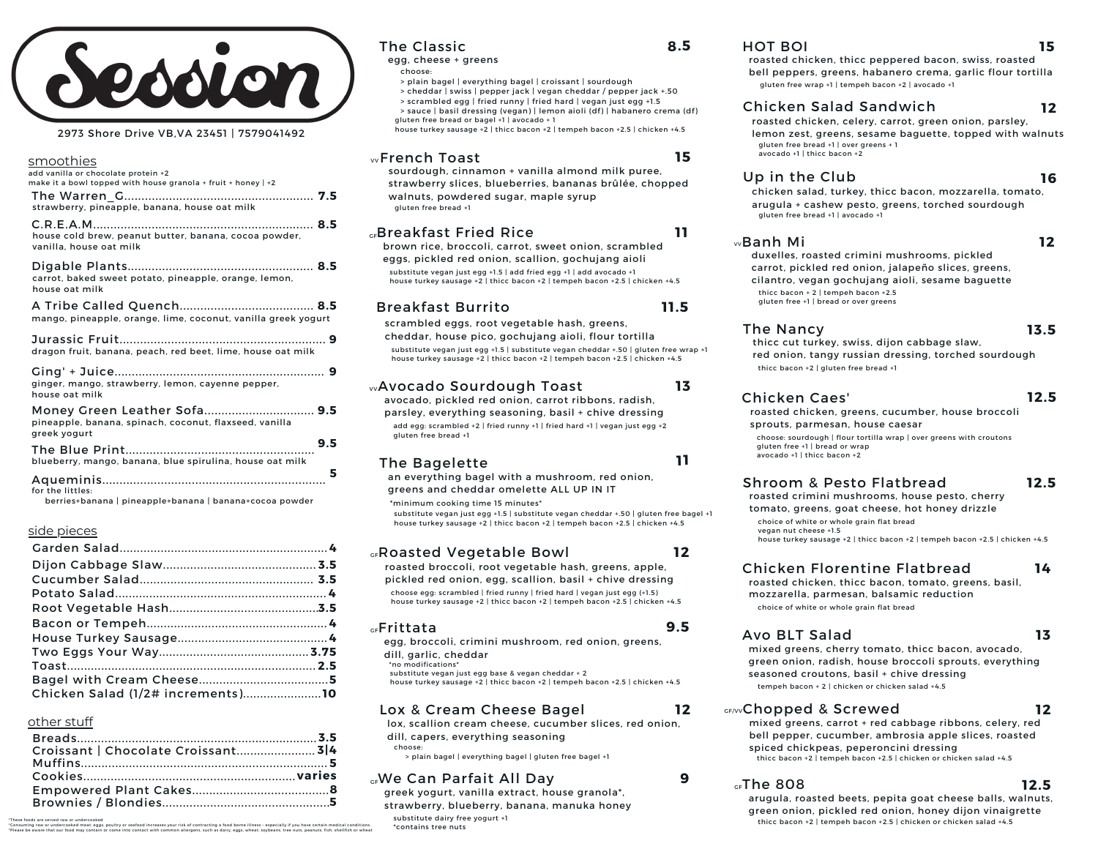# Ion

#### 2973 Shore Drive VB,VA 23451 | 7579041492

| smoothies<br>add vanilla or chocolate protein +2                                                                 |
|------------------------------------------------------------------------------------------------------------------|
| make it a bowl topped with house granola + fruit + honey $ +2 $<br>strawberry, pineapple, banana, house oat milk |
| house cold brew, peanut butter, banana, cocoa powder,<br>vanilla, house oat milk                                 |
| carrot, baked sweet potato, pineapple, orange, lemon,<br>house oat milk                                          |
| mango, pineapple, orange, lime, coconut, vanilla greek yogurt                                                    |
| dragon fruit, banana, peach, red beet, lime, house oat milk                                                      |
| ginger, mango, strawberry, lemon, cayenne pepper,<br>house oat milk                                              |
| Money Green Leather Sofa 9.5<br>pineapple, banana, spinach, coconut, flaxseed, vanilla<br>areek voaurt           |
| 9.5<br>blueberry, mango, banana, blue spirulina, house oat milk                                                  |
| 5<br>for the littles:                                                                                            |

berries+banana | pineapple+banana | banana+cocoa powder

#### side pieces

| Chicken Salad (1/2# increments)10 |  |
|-----------------------------------|--|

#### other stuff

| Croissant   Chocolate Croissant 3 4 |  |
|-------------------------------------|--|
|                                     |  |
|                                     |  |
|                                     |  |
|                                     |  |
|                                     |  |

#### The Classic

egg, cheese + greens

- choose:
- > plain bagel | everything bagel | croissant | sourdough
- > cheddar | swiss | pepper jack | vegan cheddar / pepper jack +.50
- > scrambled egg | fried runny | fried hard | vegan just egg +1.5 > sauce | basil dressing (vegan) | lemon aioli (df) | habanero crema (df) gluten free bread or bagel +1 | avocado + 1

house turkey sausage +2 | thicc bacon +2 | tempeh bacon +2.5 | chicken +4.5

#### French Toast **15** VV

sourdough, cinnamon + vanilla almond milk puree, strawberry slices, blueberries, bananas brûlée, chopped walnuts, powdered sugar, maple syrup gluten free bread +1

#### Breakfast Fried Rice **11** GF

brown rice, broccoli, carrot, sweet onion, scrambled eggs, pickled red onion, scallion, gochujang aioli substitute vegan just egg +1.5 | add fried egg +1 | add avocado +1 house turkey sausage +2 | thicc bacon +2 | tempeh bacon +2.5 | chicken +4.5

#### Breakfast Burrito **11.5**

scrambled eggs, root vegetable hash, greens, cheddar, house pico, gochujang aioli, flour tortilla substitute vegan just egg +1.5 | substitute vegan cheddar +.50 | gluten free wrap +1 house turkey sausage +2 | thicc bacon +2 | tempeh bacon +2.5 | chicken +4.5

#### wAvocado Sourdough Toast

avocado, pickled red onion, carrot ribbons, radish, parsley, everything seasoning, basil + chive dressing add egg: scrambled +2 | fried runny +1 | fried hard +1 | vegan just egg +2 gluten free bread +1

#### The Bagelette **<sup>11</sup>**

an everything bagel with a mushroom, red onion, greens and cheddar omelette ALL UP IN IT

\*minimum cooking time 15 minutes\*

substitute vegan just egg +1.5 | substitute vegan cheddar +.50 | gluten free bagel +1 house turkey sausage +2 | thicc bacon +2 | tempeh bacon +2.5 | chicken +4.5

#### Roasted Vegetable Bowl GF

roasted broccoli, root vegetable hash, greens, apple,

pickled red onion, egg, scallion, basil + chive dressing choose egg: scrambled | fried runny | fried hard | vegan just egg (+1.5)

#### house turkey sausage +2 | thicc bacon +2 | tempeh bacon +2.5 | chicken +4.5

#### **GF**rittata

egg, broccoli, crimini mushroom, red onion, greens, dill, garlic, cheddar

\*no modifications\*

substitute vegan just egg base & vegan cheddar + 2

house turkey sausage +2 | thicc bacon +2 | tempeh bacon +2.5 | chicken +4.5

#### Lox & Cream Cheese Bagel

lox, scallion cream cheese, cucumber slices, red onion,

dill, capers, everything seasoning choose:

> plain bagel | everything bagel | gluten free bagel +1

#### We Can Parfait All Day **9** GF

greek yogurt, vanilla extract, house granola\*, strawberry, blueberry, banana, manuka honey substitute dairy free yogurt +1 \*contains tree nuts

#### HOT BOI **15**

roasted chicken, thicc peppered bacon, swiss, roasted bell peppers, greens, habanero crema, garlic flour tortilla gluten free wrap +1 | tempeh bacon +2 | avocado +1

#### Chicken Salad Sandwich

roasted chicken, celery, carrot, green onion, parsley, lemon zest, greens, sesame baguette, topped with walnuts gluten free bread +1 | over greens + 1 avocado +1 | thicc bacon +2

#### Up in the Club

**16**

**12**

chicken salad, turkey, thicc bacon, mozzarella, tomato, arugula + cashew pesto, greens, torched sourdough gluten free bread +1 | avocado +1

#### Banh Mi **12** VV

duxelles, roasted crimini mushrooms, pickled carrot, pickled red onion, jalapeño slices, greens, cilantro, vegan gochujang aioli, sesame baguette

thicc bacon + 2 | tempeh bacon +2.5 gluten free +1 | bread or over greens

#### The Nancy

**13.5**

**12.5**

thicc cut turkey, swiss, dijon cabbage slaw, red onion, tangy russian dressing, torched sourdough thicc bacon +2 | gluten free bread +1

#### Chicken Caes'

roasted chicken, greens, cucumber, house broccoli sprouts, parmesan, house caesar

choose: sourdough | flour tortilla wrap | over greens with croutons gluten free +1 | bread or wrap avocado +1 | thicc bacon +2

#### Shroom & Pesto Flatbread **12.5**

roasted crimini mushrooms, house pesto, cherry tomato, greens, goat cheese, hot honey drizzle choice of white or whole grain flat bread vegan nut cheese +1.5 house turkey sausage +2 | thicc bacon +2 | tempeh bacon +2.5 | chicken +4.5

#### Chicken Florentine Flatbread **14**

roasted chicken, thicc bacon, tomato, greens, basil, mozzarella, parmesan, balsamic reduction choice of white or whole grain flat bread

#### Avo BLT Salad **13**

mixed greens, cherry tomato, thicc bacon, avocado, green onion, radish, house broccoli sprouts, everything seasoned croutons, basil + chive dressing tempeh bacon + 2 | chicken or chicken salad +4.5

#### **Chopped & Screwed 12**

mixed greens, carrot + red cabbage ribbons, celery, red bell pepper, cucumber, ambrosia apple slices, roasted spiced chickpeas, peperoncini dressing thicc bacon +2 | tempeh bacon +2.5 | chicken or chicken salad +4.5

#### The 808 **12.5** GF

arugula, roasted beets, pepita goat cheese balls, walnuts, green onion, pickled red onion, honey dijon vinaigrette thicc bacon +2 | tempeh bacon +2.5 | chicken or chicken salad +4.5

are served raw or undercooked<br>aw or undercooked meat, eggs, p<br>are that our food may contain or "Consuming raw or undercooked meat, eggs, poultry or seafood increases your risk of contenct and the meat of consumers and the meat of the meat of the meat of the meat of the meat of the meat of the meat of the meat of the

**12**

**9.5**

**12**

**13**

**8.5**